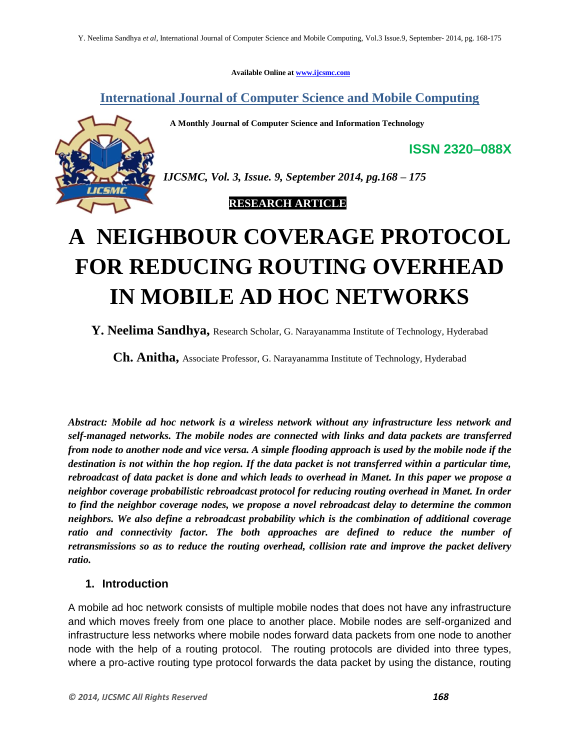**Available Online at www.ijcsmc.com**

**International Journal of Computer Science and Mobile Computing**

 **A Monthly Journal of Computer Science and Information Technology**



*IJCSMC, Vol. 3, Issue. 9, September 2014, pg.168 – 175*

 **RESEARCH ARTICLE**

# **A NEIGHBOUR COVERAGE PROTOCOL FOR REDUCING ROUTING OVERHEAD IN MOBILE AD HOC NETWORKS**

**Y. Neelima Sandhya,** Research Scholar, G. Narayanamma Institute of Technology, Hyderabad

**Ch. Anitha,** Associate Professor, G. Narayanamma Institute of Technology, Hyderabad

*Abstract: Mobile ad hoc network is a wireless network without any infrastructure less network and self-managed networks. The mobile nodes are connected with links and data packets are transferred from node to another node and vice versa. A simple flooding approach is used by the mobile node if the destination is not within the hop region. If the data packet is not transferred within a particular time, rebroadcast of data packet is done and which leads to overhead in Manet. In this paper we propose a neighbor coverage probabilistic rebroadcast protocol for reducing routing overhead in Manet. In order to find the neighbor coverage nodes, we propose a novel rebroadcast delay to determine the common neighbors. We also define a rebroadcast probability which is the combination of additional coverage*  ratio and connectivity factor. The both approaches are defined to reduce the number of *retransmissions so as to reduce the routing overhead, collision rate and improve the packet delivery ratio.*

## **1. Introduction**

A mobile ad hoc network consists of multiple mobile nodes that does not have any infrastructure and which moves freely from one place to another place. Mobile nodes are self-organized and infrastructure less networks where mobile nodes forward data packets from one node to another node with the help of a routing protocol. The routing protocols are divided into three types, where a pro-active routing type protocol forwards the data packet by using the distance, routing

**ISSN 2320–088X**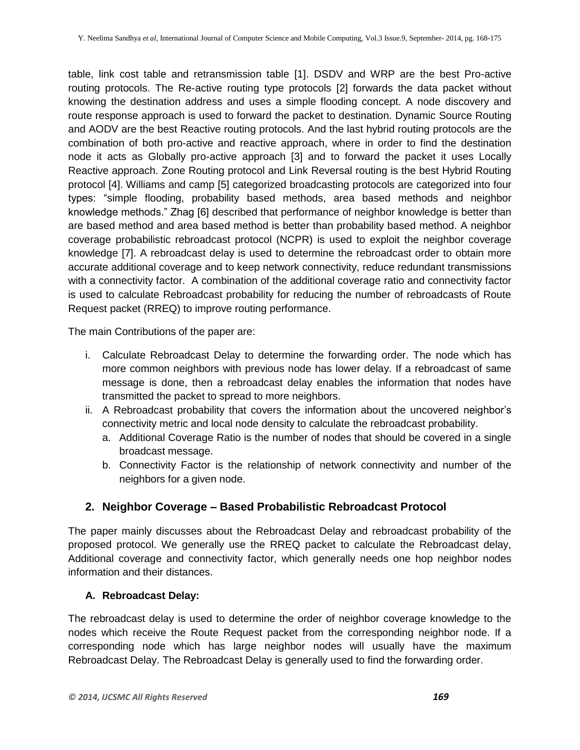table, link cost table and retransmission table [1]. DSDV and WRP are the best Pro-active routing protocols. The Re-active routing type protocols [2] forwards the data packet without knowing the destination address and uses a simple flooding concept. A node discovery and route response approach is used to forward the packet to destination. Dynamic Source Routing and AODV are the best Reactive routing protocols. And the last hybrid routing protocols are the combination of both pro-active and reactive approach, where in order to find the destination node it acts as Globally pro-active approach [3] and to forward the packet it uses Locally Reactive approach. Zone Routing protocol and Link Reversal routing is the best Hybrid Routing protocol [4]. Williams and camp [5] categorized broadcasting protocols are categorized into four types: "simple flooding, probability based methods, area based methods and neighbor knowledge methods." Zhag [6] described that performance of neighbor knowledge is better than are based method and area based method is better than probability based method. A neighbor coverage probabilistic rebroadcast protocol (NCPR) is used to exploit the neighbor coverage knowledge [7]. A rebroadcast delay is used to determine the rebroadcast order to obtain more accurate additional coverage and to keep network connectivity, reduce redundant transmissions with a connectivity factor. A combination of the additional coverage ratio and connectivity factor is used to calculate Rebroadcast probability for reducing the number of rebroadcasts of Route Request packet (RREQ) to improve routing performance.

The main Contributions of the paper are:

- i. Calculate Rebroadcast Delay to determine the forwarding order. The node which has more common neighbors with previous node has lower delay. If a rebroadcast of same message is done, then a rebroadcast delay enables the information that nodes have transmitted the packet to spread to more neighbors.
- ii. A Rebroadcast probability that covers the information about the uncovered neighbor's connectivity metric and local node density to calculate the rebroadcast probability.
	- a. Additional Coverage Ratio is the number of nodes that should be covered in a single broadcast message.
	- b. Connectivity Factor is the relationship of network connectivity and number of the neighbors for a given node.

## **2. Neighbor Coverage – Based Probabilistic Rebroadcast Protocol**

The paper mainly discusses about the Rebroadcast Delay and rebroadcast probability of the proposed protocol. We generally use the RREQ packet to calculate the Rebroadcast delay, Additional coverage and connectivity factor, which generally needs one hop neighbor nodes information and their distances.

## **A. Rebroadcast Delay:**

The rebroadcast delay is used to determine the order of neighbor coverage knowledge to the nodes which receive the Route Request packet from the corresponding neighbor node. If a corresponding node which has large neighbor nodes will usually have the maximum Rebroadcast Delay. The Rebroadcast Delay is generally used to find the forwarding order.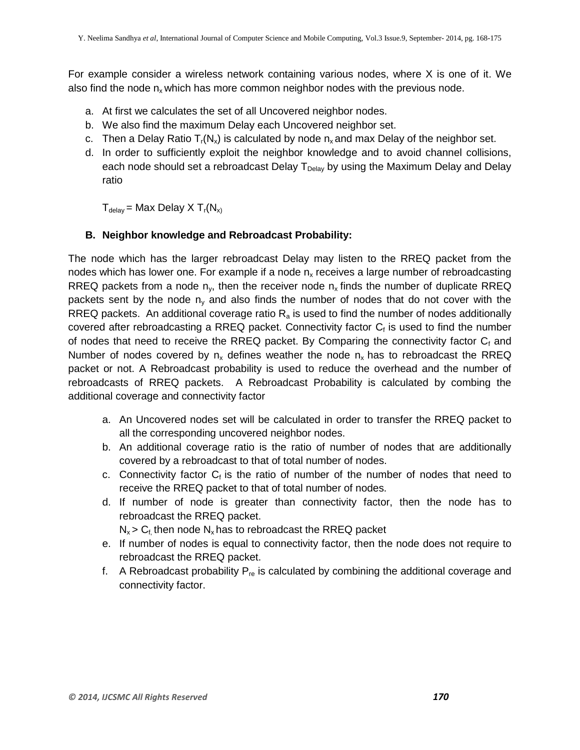For example consider a wireless network containing various nodes, where X is one of it. We also find the node  $n_x$  which has more common neighbor nodes with the previous node.

- a. At first we calculates the set of all Uncovered neighbor nodes.
- b. We also find the maximum Delay each Uncovered neighbor set.
- c. Then a Delay Ratio  $T_r(N_x)$  is calculated by node  $n_x$  and max Delay of the neighbor set.
- d. In order to sufficiently exploit the neighbor knowledge and to avoid channel collisions, each node should set a rebroadcast Delay  $T_{Delay}$  by using the Maximum Delay and Delay ratio

 $T_{delay}$  = Max Delay X  $T_r(N_x)$ 

#### **B. Neighbor knowledge and Rebroadcast Probability:**

The node which has the larger rebroadcast Delay may listen to the RREQ packet from the nodes which has lower one. For example if a node  $n_x$  receives a large number of rebroadcasting RREQ packets from a node  $n_v$ , then the receiver node  $n_x$  finds the number of duplicate RREQ packets sent by the node  $n_v$  and also finds the number of nodes that do not cover with the RREQ packets. An additional coverage ratio  $R_a$  is used to find the number of nodes additionally covered after rebroadcasting a RREQ packet. Connectivity factor  $C_f$  is used to find the number of nodes that need to receive the RREQ packet. By Comparing the connectivity factor  $C_f$  and Number of nodes covered by  $n_x$  defines weather the node  $n_x$  has to rebroadcast the RREQ packet or not. A Rebroadcast probability is used to reduce the overhead and the number of rebroadcasts of RREQ packets. A Rebroadcast Probability is calculated by combing the additional coverage and connectivity factor

- a. An Uncovered nodes set will be calculated in order to transfer the RREQ packet to all the corresponding uncovered neighbor nodes.
- b. An additional coverage ratio is the ratio of number of nodes that are additionally covered by a rebroadcast to that of total number of nodes.
- c. Connectivity factor  $C_f$  is the ratio of number of the number of nodes that need to receive the RREQ packet to that of total number of nodes.
- d. If number of node is greater than connectivity factor, then the node has to rebroadcast the RREQ packet.

 $N_x > C_f$  then node  $N_x$  has to rebroadcast the RREQ packet

- e. If number of nodes is equal to connectivity factor, then the node does not require to rebroadcast the RREQ packet.
- f. A Rebroadcast probability  $P_{\text{re}}$  is calculated by combining the additional coverage and connectivity factor.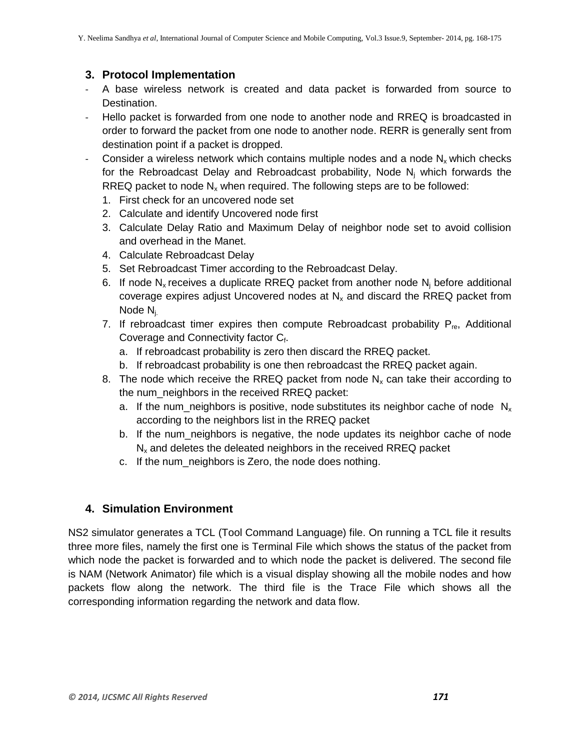# **3. Protocol Implementation**

- A base wireless network is created and data packet is forwarded from source to Destination.
- Hello packet is forwarded from one node to another node and RREQ is broadcasted in order to forward the packet from one node to another node. RERR is generally sent from destination point if a packet is dropped.
- Consider a wireless network which contains multiple nodes and a node  $N_x$  which checks for the Rebroadcast Delay and Rebroadcast probability, Node  $N_i$  which forwards the RREQ packet to node  $N_x$  when required. The following steps are to be followed:
	- 1. First check for an uncovered node set
	- 2. Calculate and identify Uncovered node first
	- 3. Calculate Delay Ratio and Maximum Delay of neighbor node set to avoid collision and overhead in the Manet.
	- 4. Calculate Rebroadcast Delay
	- 5. Set Rebroadcast Timer according to the Rebroadcast Delay.
	- 6. If node  $N_x$  receives a duplicate RREQ packet from another node  $N_i$  before additional coverage expires adjust Uncovered nodes at  $N_x$  and discard the RREQ packet from Node Nj.
	- 7. If rebroadcast timer expires then compute Rebroadcast probability  $P_{\text{re}}$ , Additional Coverage and Connectivity factor Cf.
		- a. If rebroadcast probability is zero then discard the RREQ packet.
		- b. If rebroadcast probability is one then rebroadcast the RREQ packet again.
	- 8. The node which receive the RREQ packet from node  $N_x$  can take their according to the num neighbors in the received RREQ packet:
		- a. If the num\_neighbors is positive, node substitutes its neighbor cache of node  $N_x$ according to the neighbors list in the RREQ packet
		- b. If the num neighbors is negative, the node updates its neighbor cache of node  $N<sub>x</sub>$  and deletes the deleated neighbors in the received RREQ packet
		- c. If the num\_neighbors is Zero, the node does nothing.

## **4. Simulation Environment**

NS2 simulator generates a TCL (Tool Command Language) file. On running a TCL file it results three more files, namely the first one is Terminal File which shows the status of the packet from which node the packet is forwarded and to which node the packet is delivered. The second file is NAM (Network Animator) file which is a visual display showing all the mobile nodes and how packets flow along the network. The third file is the Trace File which shows all the corresponding information regarding the network and data flow.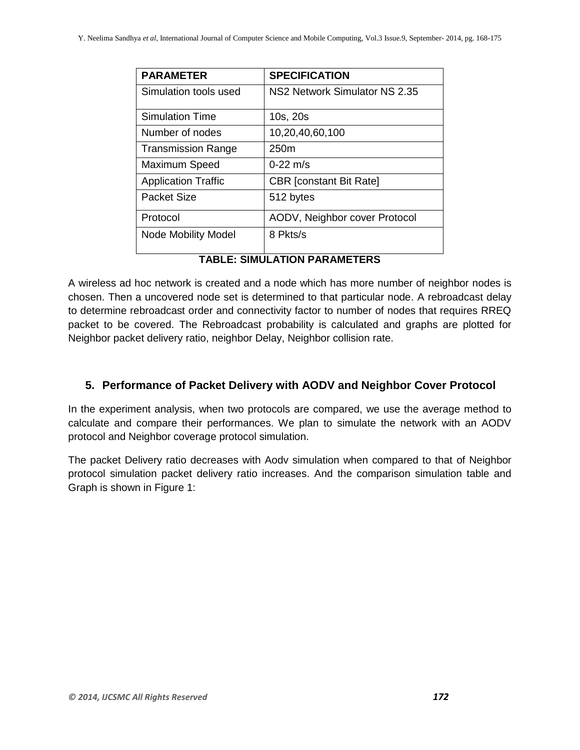| <b>PARAMETER</b>           | <b>SPECIFICATION</b>           |  |
|----------------------------|--------------------------------|--|
| Simulation tools used      | NS2 Network Simulator NS 2.35  |  |
| <b>Simulation Time</b>     | 10s, 20s                       |  |
| Number of nodes            | 10,20,40,60,100                |  |
| <b>Transmission Range</b>  | 250 <sub>m</sub>               |  |
| Maximum Speed              | $0 - 22$ m/s                   |  |
| <b>Application Traffic</b> | <b>CBR</b> [constant Bit Rate] |  |
| <b>Packet Size</b>         | 512 bytes                      |  |
| Protocol                   | AODV, Neighbor cover Protocol  |  |
| <b>Node Mobility Model</b> | 8 Pkts/s                       |  |

## **TABLE: SIMULATION PARAMETERS**

A wireless ad hoc network is created and a node which has more number of neighbor nodes is chosen. Then a uncovered node set is determined to that particular node. A rebroadcast delay to determine rebroadcast order and connectivity factor to number of nodes that requires RREQ packet to be covered. The Rebroadcast probability is calculated and graphs are plotted for Neighbor packet delivery ratio, neighbor Delay, Neighbor collision rate.

## **5. Performance of Packet Delivery with AODV and Neighbor Cover Protocol**

In the experiment analysis, when two protocols are compared, we use the average method to calculate and compare their performances. We plan to simulate the network with an AODV protocol and Neighbor coverage protocol simulation.

The packet Delivery ratio decreases with Aodv simulation when compared to that of Neighbor protocol simulation packet delivery ratio increases. And the comparison simulation table and Graph is shown in Figure 1: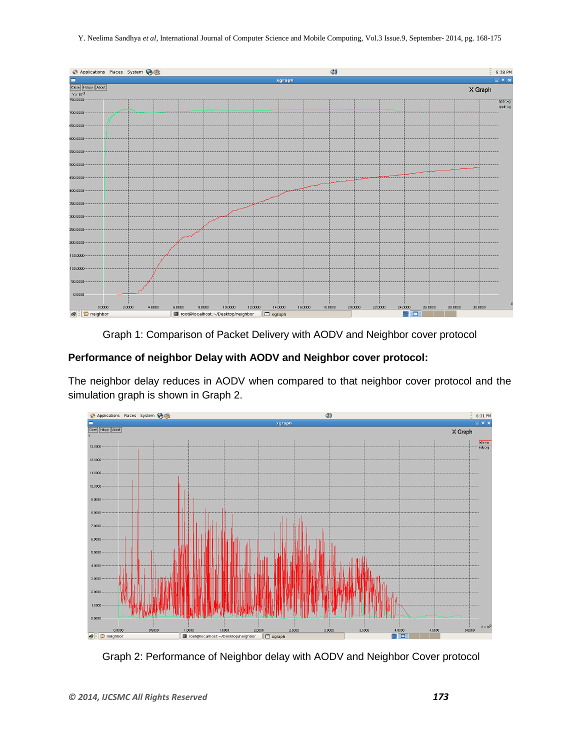Y. Neelima Sandhya *et al*, International Journal of Computer Science and Mobile Computing, Vol.3 Issue.9, September- 2014, pg. 168-175



Graph 1: Comparison of Packet Delivery with AODV and Neighbor cover protocol

## **Performance of neighbor Delay with AODV and Neighbor cover protocol:**

The neighbor delay reduces in AODV when compared to that neighbor cover protocol and the simulation graph is shown in Graph 2.



Graph 2: Performance of Neighbor delay with AODV and Neighbor Cover protocol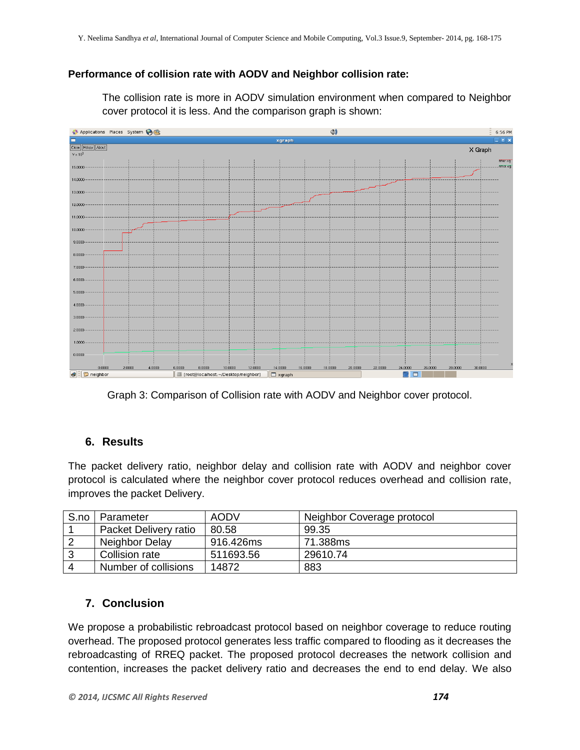#### **Performance of collision rate with AODV and Neighbor collision rate:**

The collision rate is more in AODV simulation environment when compared to Neighbor cover protocol it is less. And the comparison graph is shown:



Graph 3: Comparison of Collision rate with AODV and Neighbor cover protocol.

## **6. Results**

The packet delivery ratio, neighbor delay and collision rate with AODV and neighbor cover protocol is calculated where the neighbor cover protocol reduces overhead and collision rate, improves the packet Delivery.

| S.no                   | Parameter             | <b>AODV</b> | Neighbor Coverage protocol |
|------------------------|-----------------------|-------------|----------------------------|
|                        | Packet Delivery ratio | 80.58       | 99.35                      |
|                        | Neighbor Delay        | 916.426ms   | 71.388ms                   |
| 3                      | Collision rate        | 511693.56   | 29610.74                   |
| $\boldsymbol{\Lambda}$ | Number of collisions  | 14872       | 883                        |

## **7. Conclusion**

We propose a probabilistic rebroadcast protocol based on neighbor coverage to reduce routing overhead. The proposed protocol generates less traffic compared to flooding as it decreases the rebroadcasting of RREQ packet. The proposed protocol decreases the network collision and contention, increases the packet delivery ratio and decreases the end to end delay. We also